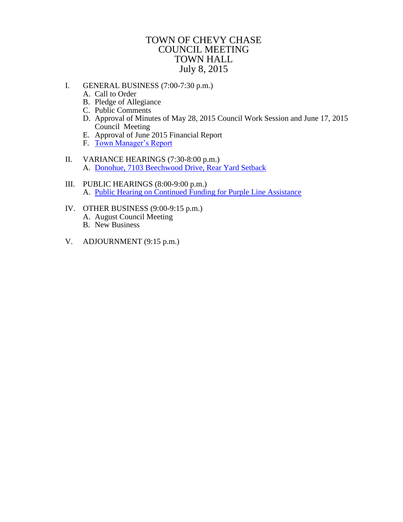### TOWN OF CHEVY CHASE COUNCIL MEETING TOWN HALL July 8, 2015

- I. GENERAL BUSINESS (7:00-7:30 p.m.)
	- A. Call to Order
	- B. Pledge of Allegiance
	- C. Public Comments
	- D. Approval of Minutes of May 28, 2015 Council Work Session and June 17, 2015 Council Meeting
	- E. Approval of June 2015 Financial Report
	- F. [Town Manager's Report](#page-1-0)
- II. VARIANCE HEARINGS (7:30-8:00 p.m.) A. [Donohue, 7103 Beechwood Drive, Rear Yard Setback](#page-2-0)
- III. PUBLIC HEARINGS (8:00-9:00 p.m.) A. [Public Hearing on Continued Funding for Purple Line Assistance](#page-4-0)
- IV. OTHER BUSINESS (9:00-9:15 p.m.)
	- A. August Council Meeting
	- B. New Business
- V. ADJOURNMENT (9:15 p.m.)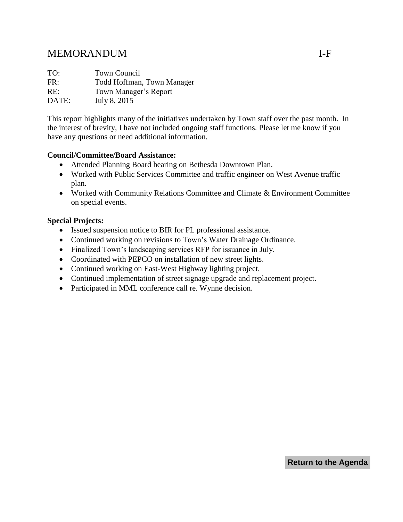# <span id="page-1-0"></span>MEMORANDUM I-F

| <b>Town Council</b>        |
|----------------------------|
| Todd Hoffman, Town Manager |
| Town Manager's Report      |
| July 8, 2015               |
|                            |

This report highlights many of the initiatives undertaken by Town staff over the past month. In the interest of brevity, I have not included ongoing staff functions. Please let me know if you have any questions or need additional information.

### **Council/Committee/Board Assistance:**

- Attended Planning Board hearing on Bethesda Downtown Plan.
- Worked with Public Services Committee and traffic engineer on West Avenue traffic plan.
- Worked with Community Relations Committee and Climate & Environment Committee on special events.

### **Special Projects:**

- Issued suspension notice to BIR for PL professional assistance.
- Continued working on revisions to Town's Water Drainage Ordinance.
- Finalized Town's landscaping services RFP for issuance in July.
- Coordinated with PEPCO on installation of new street lights.
- Continued working on East-West Highway lighting project.
- Continued implementation of street signage upgrade and replacement project.
- Participated in MML conference call re. Wynne decision.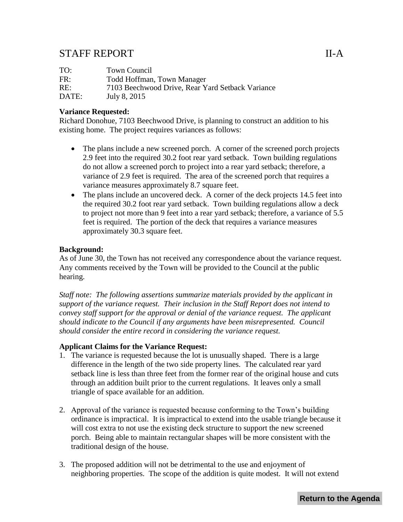## <span id="page-2-0"></span>STAFF REPORT II-A

| TO:   | Town Council                                     |
|-------|--------------------------------------------------|
| FR:   | Todd Hoffman, Town Manager                       |
| RE:   | 7103 Beechwood Drive, Rear Yard Setback Variance |
| DATE: | July 8, 2015                                     |

#### **Variance Requested:**

Richard Donohue, 7103 Beechwood Drive, is planning to construct an addition to his existing home. The project requires variances as follows:

- The plans include a new screened porch. A corner of the screened porch projects 2.9 feet into the required 30.2 foot rear yard setback. Town building regulations do not allow a screened porch to project into a rear yard setback; therefore, a variance of 2.9 feet is required. The area of the screened porch that requires a variance measures approximately 8.7 square feet.
- The plans include an uncovered deck. A corner of the deck projects 14.5 feet into the required 30.2 foot rear yard setback. Town building regulations allow a deck to project not more than 9 feet into a rear yard setback; therefore, a variance of 5.5 feet is required. The portion of the deck that requires a variance measures approximately 30.3 square feet.

### **Background:**

As of June 30, the Town has not received any correspondence about the variance request. Any comments received by the Town will be provided to the Council at the public hearing.

*Staff note: The following assertions summarize materials provided by the applicant in support of the variance request. Their inclusion in the Staff Report does not intend to convey staff support for the approval or denial of the variance request. The applicant should indicate to the Council if any arguments have been misrepresented. Council should consider the entire record in considering the variance request.*

### **Applicant Claims for the Variance Request:**

- 1. The variance is requested because the lot is unusually shaped. There is a large difference in the length of the two side property lines. The calculated rear yard setback line is less than three feet from the former rear of the original house and cuts through an addition built prior to the current regulations. It leaves only a small triangle of space available for an addition.
- 2. Approval of the variance is requested because conforming to the Town's building ordinance is impractical. It is impractical to extend into the usable triangle because it will cost extra to not use the existing deck structure to support the new screened porch. Being able to maintain rectangular shapes will be more consistent with the traditional design of the house.
- 3. The proposed addition will not be detrimental to the use and enjoyment of neighboring properties. The scope of the addition is quite modest. It will not extend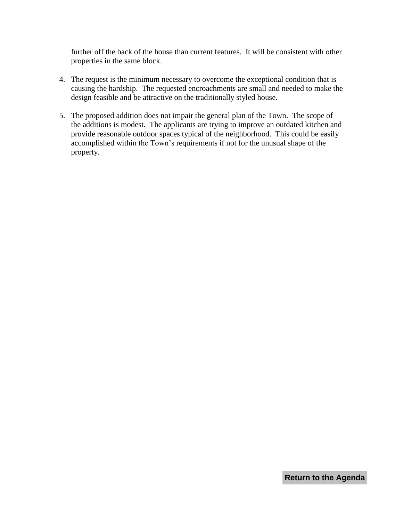further off the back of the house than current features. It will be consistent with other properties in the same block.

- 4. The request is the minimum necessary to overcome the exceptional condition that is causing the hardship. The requested encroachments are small and needed to make the design feasible and be attractive on the traditionally styled house.
- 5. The proposed addition does not impair the general plan of the Town. The scope of the additions is modest. The applicants are trying to improve an outdated kitchen and provide reasonable outdoor spaces typical of the neighborhood. This could be easily accomplished within the Town's requirements if not for the unusual shape of the property.